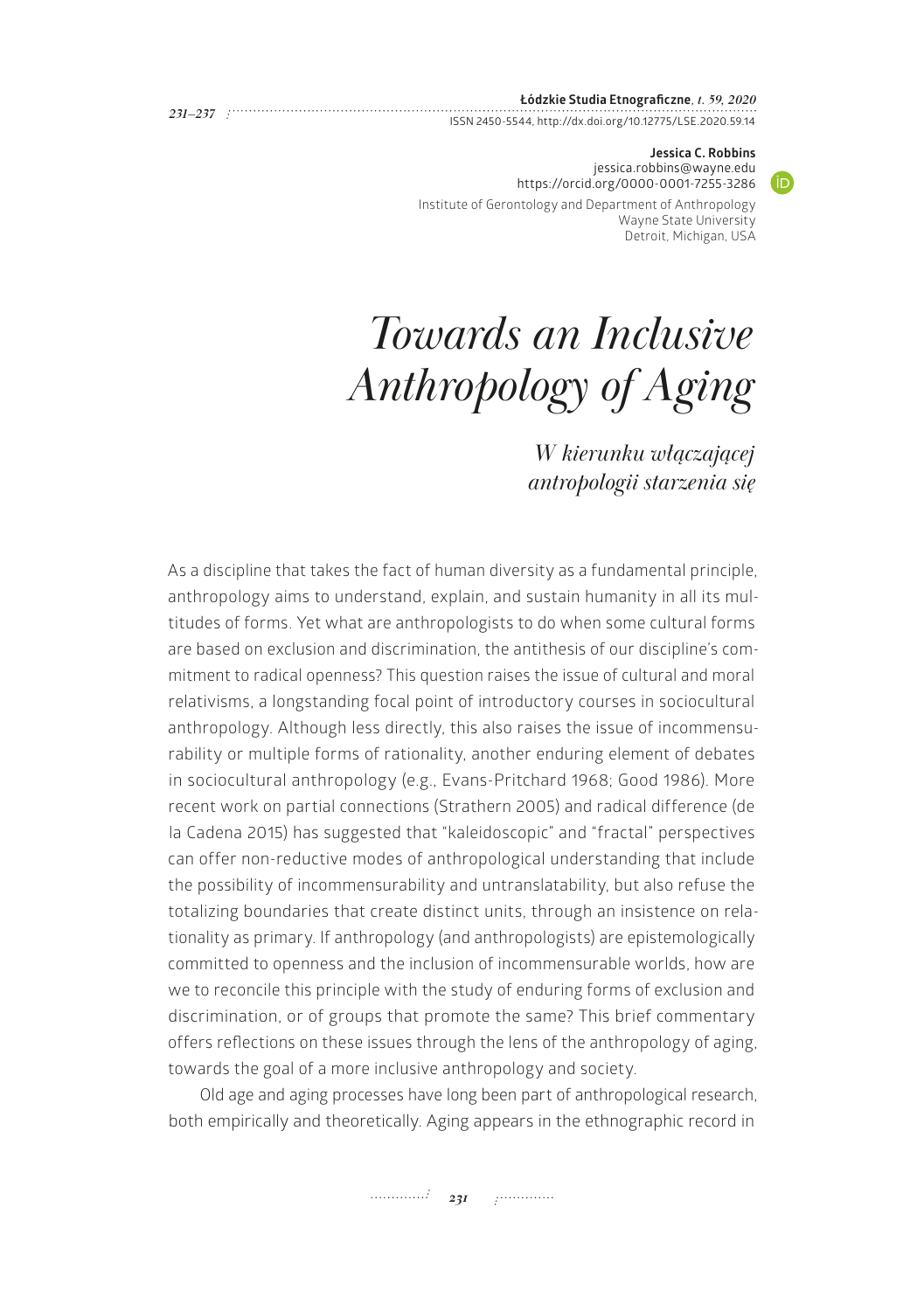### **Łódzkie Studia Etnograficzne**, *t. 59, 2020*

ISSN 2450-5544,<http://dx.doi.org/10.12775/LSE.2020.59.14> *231—237*

#### **Jessica C. Robbins** [jessica.robbins@wayne.edu](mailto:jessica.robbins@wayne.edu)

 $\bullet$ 

<https://orcid.org/0000-0001-7255-3286>

Institute of Gerontology and Department of Anthropology Wayne State University Detroit, Michigan, USA

# *Towards an Inclusive Anthropology of Aging*

*W kierunku włączającej antropologii starzenia się*

As a discipline that takes the fact of human diversity as a fundamental principle, anthropology aims to understand, explain, and sustain humanity in all its multitudes of forms. Yet what are anthropologists to do when some cultural forms are based on exclusion and discrimination, the antithesis of our discipline's commitment to radical openness? This question raises the issue of cultural and moral relativisms, a longstanding focal point of introductory courses in sociocultural anthropology. Although less directly, this also raises the issue of incommensurability or multiple forms of rationality, another enduring element of debates in sociocultural anthropology (e.g., Evans-Pritchard 1968; Good 1986). More recent work on partial connections (Strathern 2005) and radical difference (de la Cadena 2015) has suggested that "kaleidoscopic" and "fractal" perspectives can offer non-reductive modes of anthropological understanding that include the possibility of incommensurability and untranslatability, but also refuse the totalizing boundaries that create distinct units, through an insistence on relationality as primary. If anthropology (and anthropologists) are epistemologically committed to openness and the inclusion of incommensurable worlds, how are we to reconcile this principle with the study of enduring forms of exclusion and discrimination, or of groups that promote the same? This brief commentary offers reflections on these issues through the lens of the anthropology of aging, towards the goal of a more inclusive anthropology and society.

Old age and aging processes have long been part of anthropological research, both empirically and theoretically. Aging appears in the ethnographic record in

*231 231 231*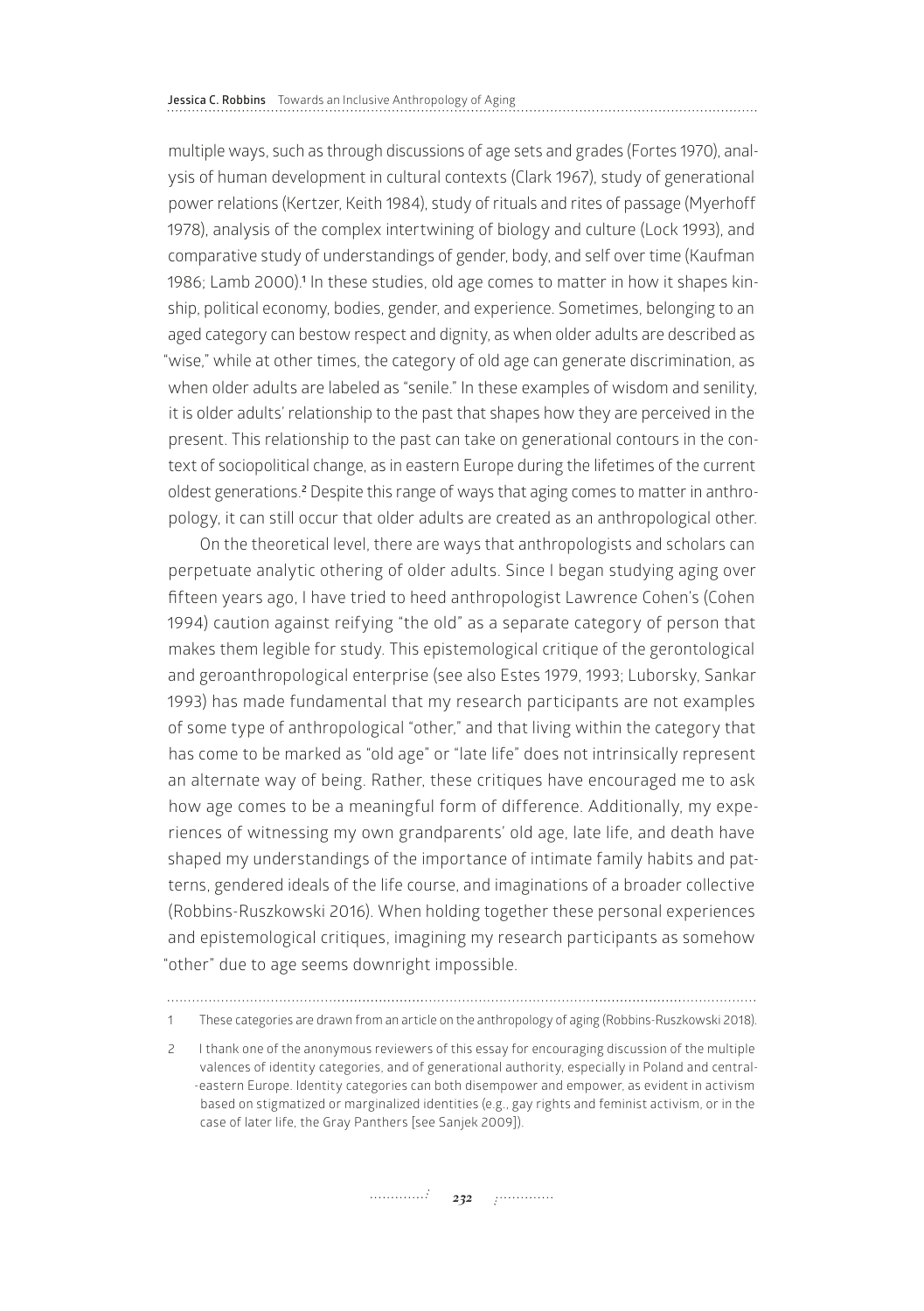multiple ways, such as through discussions of age sets and grades (Fortes 1970), analysis of human development in cultural contexts (Clark 1967), study of generational power relations (Kertzer, Keith 1984), study of rituals and rites of passage (Myerhoff 1978), analysis of the complex intertwining of biology and culture (Lock 1993), and comparative study of understandings of gender, body, and self over time (Kaufman 1986; Lamb 2000).<sup>1</sup> In these studies, old age comes to matter in how it shapes kinship, political economy, bodies, gender, and experience. Sometimes, belonging to an aged category can bestow respect and dignity, as when older adults are described as "wise," while at other times, the category of old age can generate discrimination, as when older adults are labeled as "senile." In these examples of wisdom and senility, it is older adults' relationship to the past that shapes how they are perceived in the present. This relationship to the past can take on generational contours in the context of sociopolitical change, as in eastern Europe during the lifetimes of the current oldest generations.**<sup>2</sup>** Despite this range of ways that aging comes to matter in anthropology, it can still occur that older adults are created as an anthropological other.

On the theoretical level, there are ways that anthropologists and scholars can perpetuate analytic othering of older adults. Since I began studying aging over fifteen years ago, I have tried to heed anthropologist Lawrence Cohen's (Cohen 1994) caution against reifying "the old" as a separate category of person that makes them legible for study. This epistemological critique of the gerontological and geroanthropological enterprise (see also Estes 1979, 1993; Luborsky, Sankar 1993) has made fundamental that my research participants are not examples of some type of anthropological "other," and that living within the category that has come to be marked as "old age" or "late life" does not intrinsically represent an alternate way of being. Rather, these critiques have encouraged me to ask how age comes to be a meaningful form of difference. Additionally, my experiences of witnessing my own grandparents' old age, late life, and death have shaped my understandings of the importance of intimate family habits and patterns, gendered ideals of the life course, and imaginations of a broader collective (Robbins-Ruszkowski 2016). When holding together these personal experiences and epistemological critiques, imagining my research participants as somehow "other" due to age seems downright impossible.

1 These categories are drawn from an article on the anthropology of aging (Robbins-Ruszkowski 2018).

2 I thank one of the anonymous reviewers of this essay for encouraging discussion of the multiple valences of identity categories, and of generational authority, especially in Poland and central- -eastern Europe. Identity categories can both disempower and empower, as evident in activism based on stigmatized or marginalized identities (e.g., gay rights and feminist activism, or in the case of later life, the Gray Panthers [see Sanjek 2009]).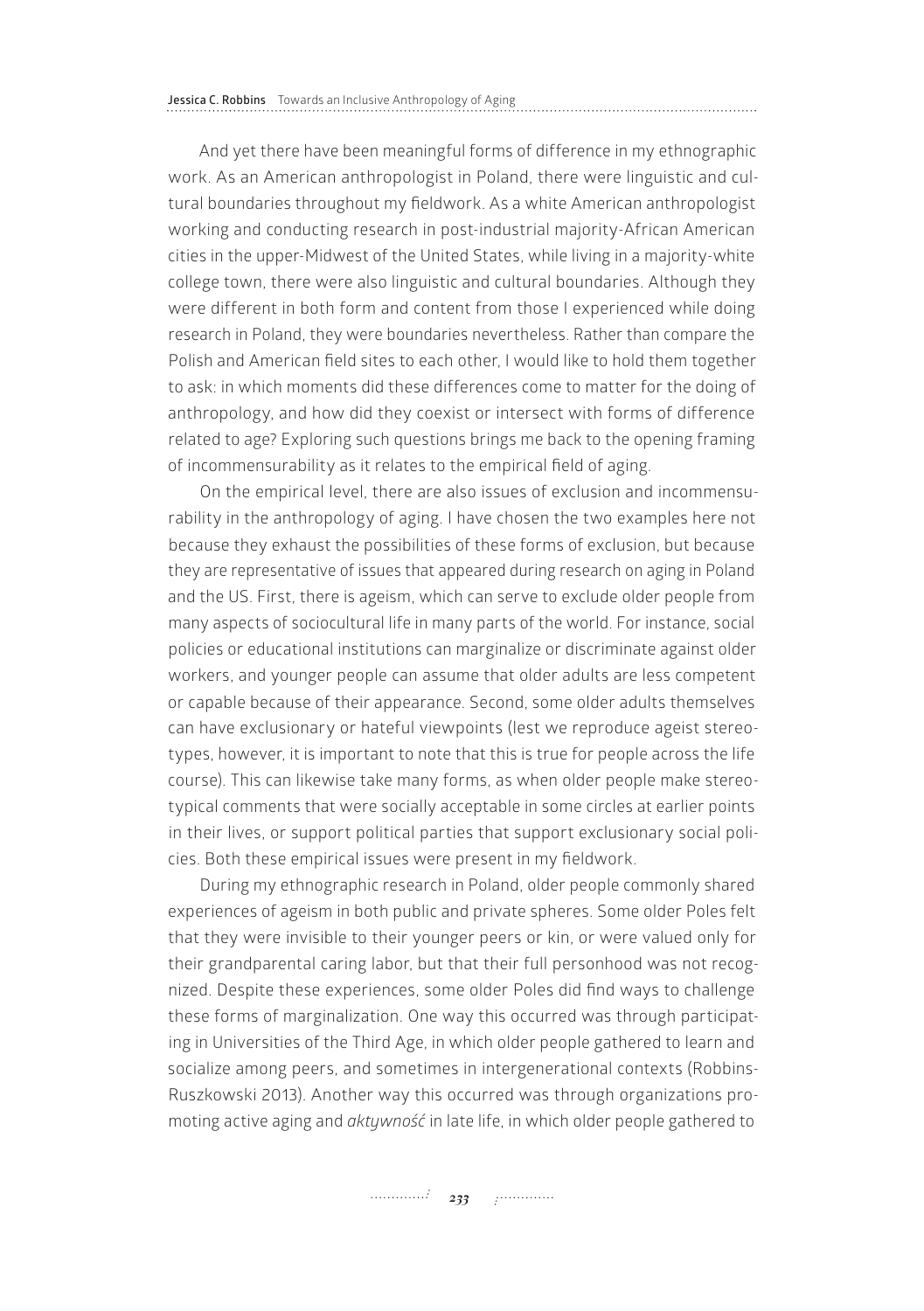And yet there have been meaningful forms of difference in my ethnographic work. As an American anthropologist in Poland, there were linguistic and cultural boundaries throughout my fieldwork. As a white American anthropologist working and conducting research in post-industrial majority-African American cities in the upper-Midwest of the United States, while living in a majority-white college town, there were also linguistic and cultural boundaries. Although they were different in both form and content from those I experienced while doing research in Poland, they were boundaries nevertheless. Rather than compare the Polish and American field sites to each other, I would like to hold them together to ask: in which moments did these differences come to matter for the doing of anthropology, and how did they coexist or intersect with forms of difference related to age? Exploring such questions brings me back to the opening framing of incommensurability as it relates to the empirical field of aging.

On the empirical level, there are also issues of exclusion and incommensurability in the anthropology of aging. I have chosen the two examples here not because they exhaust the possibilities of these forms of exclusion, but because they are representative of issues that appeared during research on aging in Poland and the US. First, there is ageism, which can serve to exclude older people from many aspects of sociocultural life in many parts of the world. For instance, social policies or educational institutions can marginalize or discriminate against older workers, and younger people can assume that older adults are less competent or capable because of their appearance. Second, some older adults themselves can have exclusionary or hateful viewpoints (lest we reproduce ageist stereotypes, however, it is important to note that this is true for people across the life course). This can likewise take many forms, as when older people make stereotypical comments that were socially acceptable in some circles at earlier points in their lives, or support political parties that support exclusionary social policies. Both these empirical issues were present in my fieldwork.

During my ethnographic research in Poland, older people commonly shared experiences of ageism in both public and private spheres. Some older Poles felt that they were invisible to their younger peers or kin, or were valued only for their grandparental caring labor, but that their full personhood was not recognized. Despite these experiences, some older Poles did find ways to challenge these forms of marginalization. One way this occurred was through participating in Universities of the Third Age, in which older people gathered to learn and socialize among peers, and sometimes in intergenerational contexts (Robbins-Ruszkowski 2013). Another way this occurred was through organizations promoting active aging and *aktywność* in late life, in which older people gathered to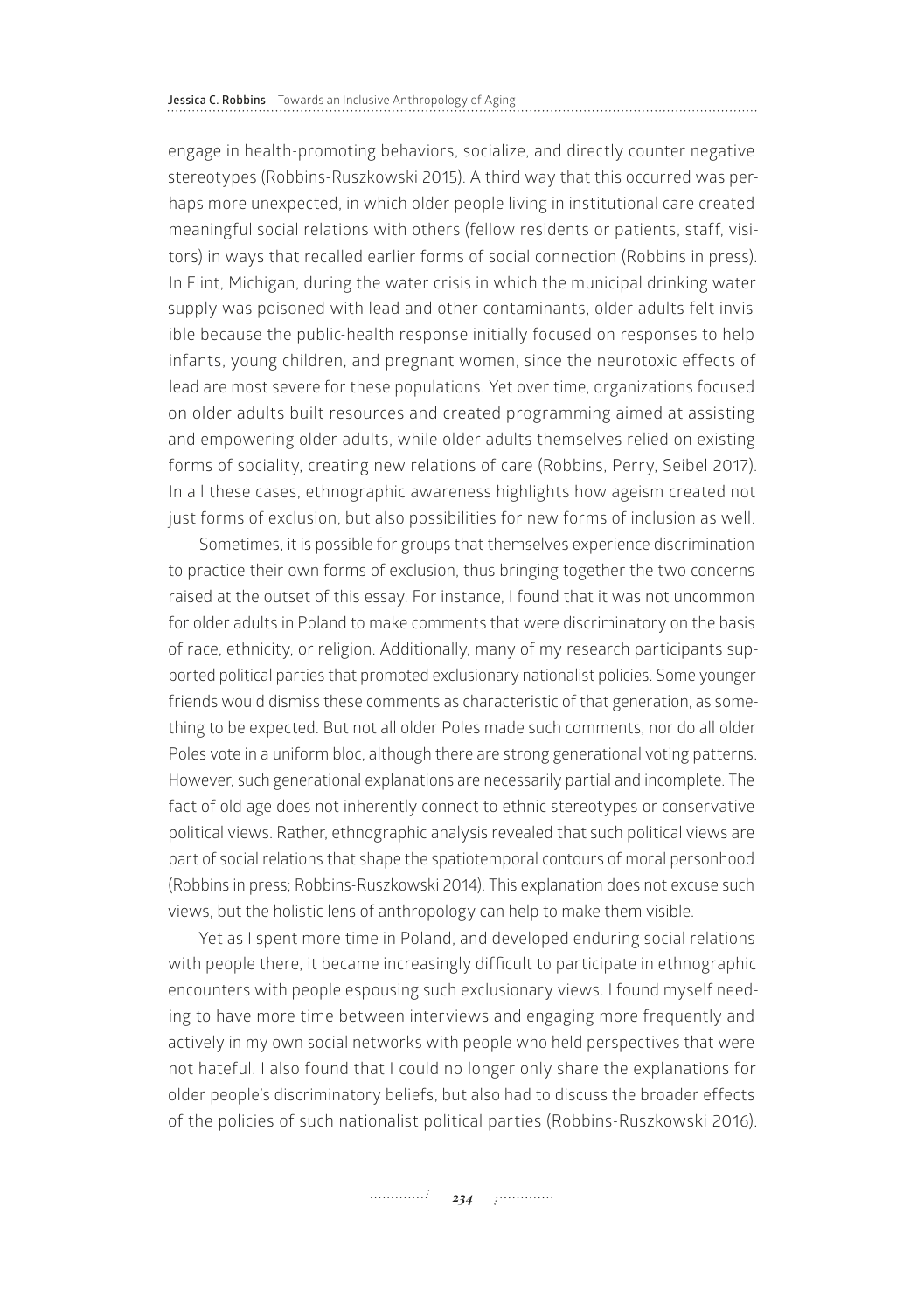engage in health-promoting behaviors, socialize, and directly counter negative stereotypes (Robbins-Ruszkowski 2015). A third way that this occurred was perhaps more unexpected, in which older people living in institutional care created meaningful social relations with others (fellow residents or patients, staff, visitors) in ways that recalled earlier forms of social connection (Robbins in press). In Flint, Michigan, during the water crisis in which the municipal drinking water supply was poisoned with lead and other contaminants, older adults felt invisible because the public-health response initially focused on responses to help infants, young children, and pregnant women, since the neurotoxic effects of lead are most severe for these populations. Yet over time, organizations focused on older adults built resources and created programming aimed at assisting and empowering older adults, while older adults themselves relied on existing forms of sociality, creating new relations of care (Robbins, Perry, Seibel 2017). In all these cases, ethnographic awareness highlights how ageism created not just forms of exclusion, but also possibilities for new forms of inclusion as well.

Sometimes, it is possible for groups that themselves experience discrimination to practice their own forms of exclusion, thus bringing together the two concerns raised at the outset of this essay. For instance, I found that it was not uncommon for older adults in Poland to make comments that were discriminatory on the basis of race, ethnicity, or religion. Additionally, many of my research participants supported political parties that promoted exclusionary nationalist policies. Some younger friends would dismiss these comments as characteristic of that generation, as something to be expected. But not all older Poles made such comments, nor do all older Poles vote in a uniform bloc, although there are strong generational voting patterns. However, such generational explanations are necessarily partial and incomplete. The fact of old age does not inherently connect to ethnic stereotypes or conservative political views. Rather, ethnographic analysis revealed that such political views are part of social relations that shape the spatiotemporal contours of moral personhood (Robbins in press; Robbins-Ruszkowski 2014). This explanation does not excuse such views, but the holistic lens of anthropology can help to make them visible.

Yet as I spent more time in Poland, and developed enduring social relations with people there, it became increasingly difficult to participate in ethnographic encounters with people espousing such exclusionary views. I found myself needing to have more time between interviews and engaging more frequently and actively in my own social networks with people who held perspectives that were not hateful. I also found that I could no longer only share the explanations for older people's discriminatory beliefs, but also had to discuss the broader effects of the policies of such nationalist political parties (Robbins-Ruszkowski 2016).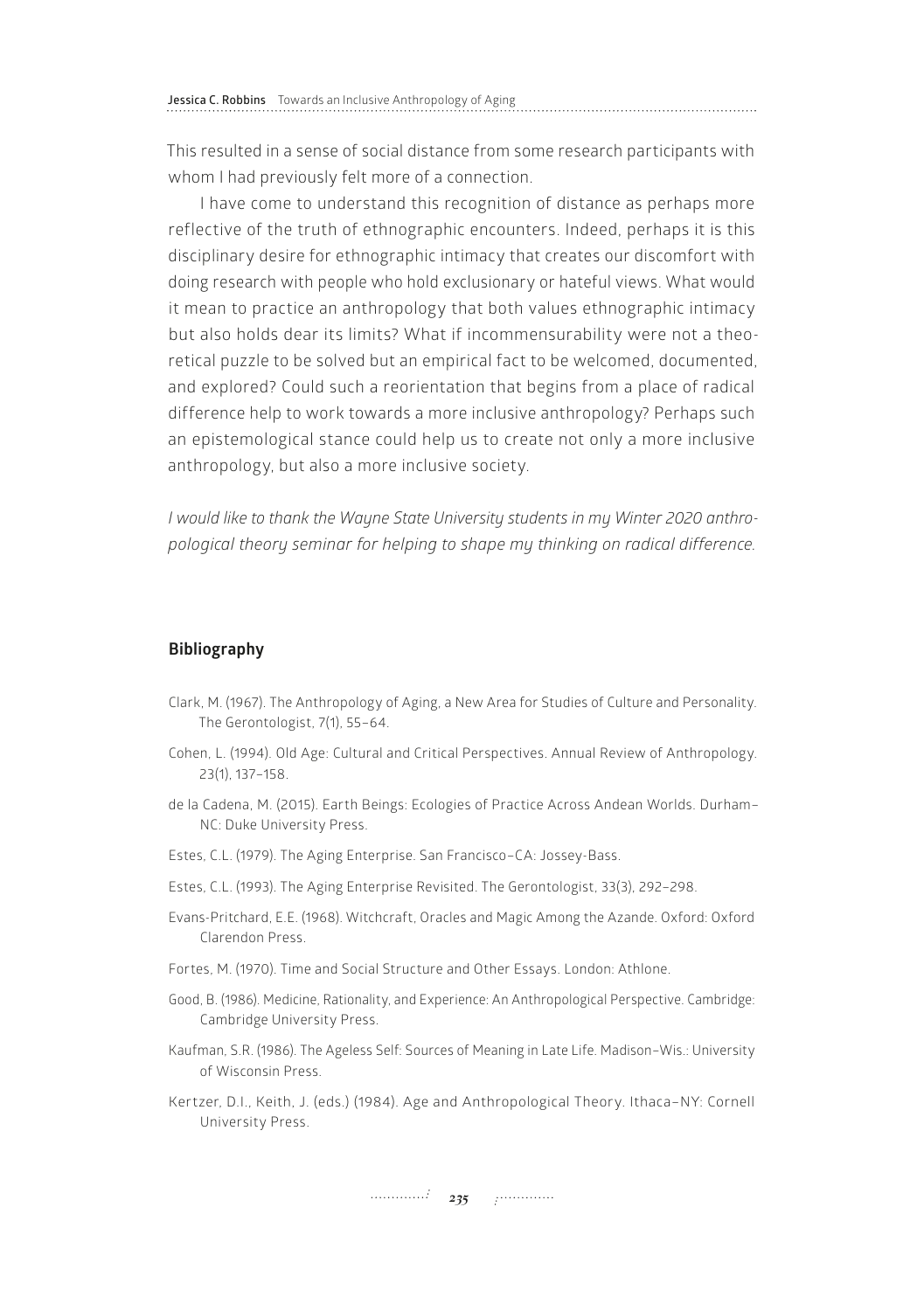This resulted in a sense of social distance from some research participants with whom I had previously felt more of a connection.

I have come to understand this recognition of distance as perhaps more reflective of the truth of ethnographic encounters. Indeed, perhaps it is this disciplinary desire for ethnographic intimacy that creates our discomfort with doing research with people who hold exclusionary or hateful views. What would it mean to practice an anthropology that both values ethnographic intimacy but also holds dear its limits? What if incommensurability were not a theoretical puzzle to be solved but an empirical fact to be welcomed, documented, and explored? Could such a reorientation that begins from a place of radical difference help to work towards a more inclusive anthropology? Perhaps such an epistemological stance could help us to create not only a more inclusive anthropology, but also a more inclusive society.

*I would like to thank the Wayne State University students in my Winter 2020 anthropological theory seminar for helping to shape my thinking on radical difference.*

## **Bibliography**

- Clark, M. (1967). The Anthropology of Aging, a New Area for Studies of Culture and Personality. The Gerontologist, 7(1), 55–64.
- Cohen, L. (1994). Old Age: Cultural and Critical Perspectives. Annual Review of Anthropology. 23(1), 137–158.
- de la Cadena, M. (2015). Earth Beings: Ecologies of Practice Across Andean Worlds. Durham– NC: Duke University Press.
- Estes, C.L. (1979). The Aging Enterprise. San Francisco–CA: Jossey-Bass.
- Estes, C.L. (1993). The Aging Enterprise Revisited. The Gerontologist, 33(3), 292–298.
- Evans-Pritchard, E.E. (1968). Witchcraft, Oracles and Magic Among the Azande. Oxford: Oxford Clarendon Press.
- Fortes, M. (1970). Time and Social Structure and Other Essays. London: Athlone.
- Good, B. (1986). Medicine, Rationality, and Experience: An Anthropological Perspective. Cambridge: Cambridge University Press.
- Kaufman, S.R. (1986). The Ageless Self: Sources of Meaning in Late Life. Madison–Wis.: University of Wisconsin Press.
- Kertzer, D.I., Keith, J. (eds.) (1984). Age and Anthropological Theory. Ithaca–NY: Cornell University Press.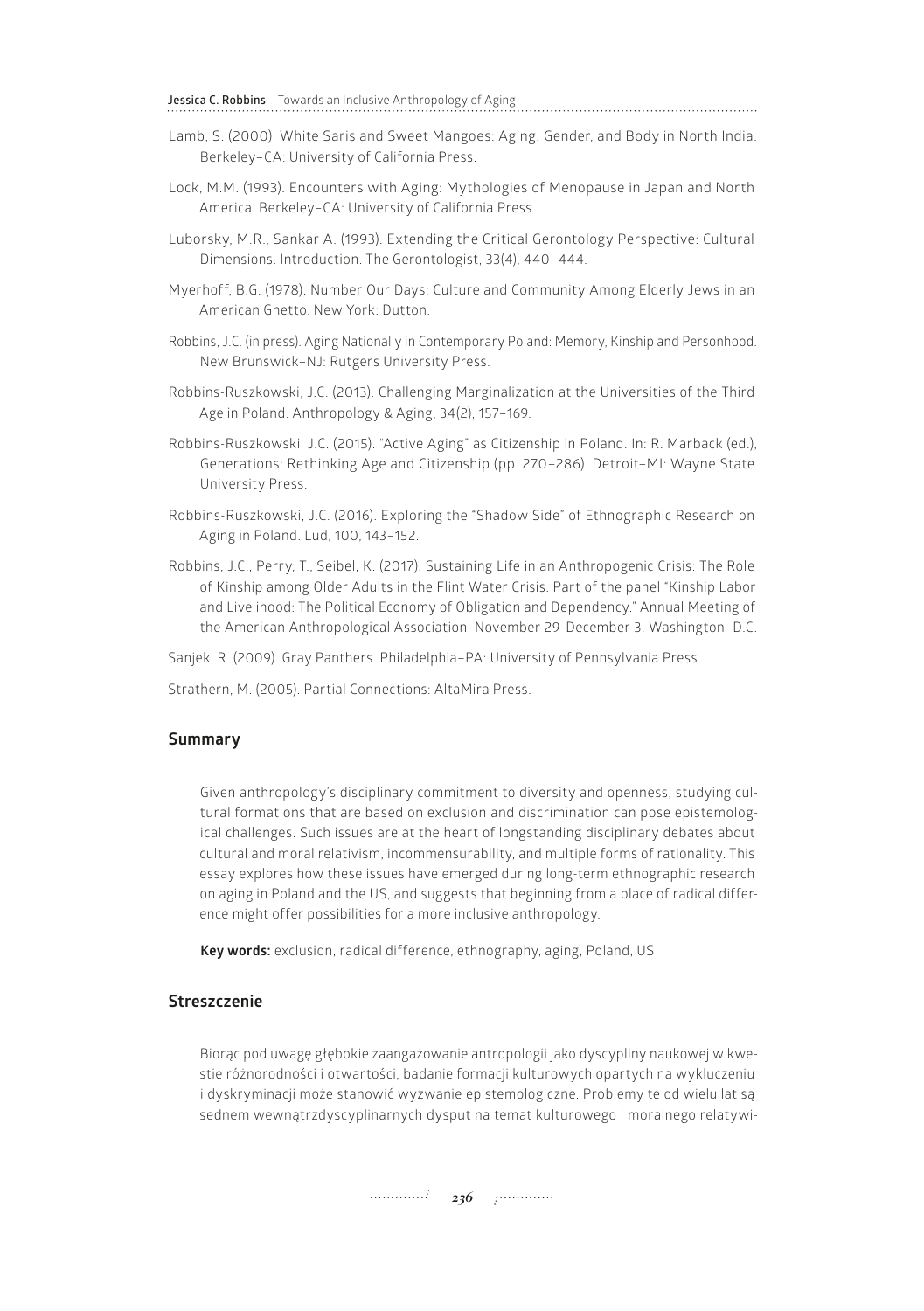**Jessica C. Robbins** Towards an Inclusive Anthropology of Aging

- Lamb, S. (2000). White Saris and Sweet Mangoes: Aging, Gender, and Body in North India. Berkeley–CA: University of California Press.
- Lock, M.M. (1993). Encounters with Aging: Mythologies of Menopause in Japan and North America. Berkeley–CA: University of California Press.
- Luborsky, M.R., Sankar A. (1993). Extending the Critical Gerontology Perspective: Cultural Dimensions. Introduction. The Gerontologist, 33(4), 440–444.
- Myerhoff, B.G. (1978). Number Our Days: Culture and Community Among Elderly Jews in an American Ghetto. New York: Dutton.
- Robbins, J.C. (in press). Aging Nationally in Contemporary Poland: Memory, Kinship and Personhood. New Brunswick–NJ: Rutgers University Press.
- Robbins-Ruszkowski, J.C. (2013). Challenging Marginalization at the Universities of the Third Age in Poland. Anthropology & Aging, 34(2), 157–169.
- Robbins-Ruszkowski, J.C. (2015). "Active Aging" as Citizenship in Poland. In: R. Marback (ed.), Generations: Rethinking Age and Citizenship (pp. 270–286). Detroit–MI: Wayne State University Press.
- Robbins-Ruszkowski, J.C. (2016). Exploring the "Shadow Side" of Ethnographic Research on Aging in Poland. Lud, 100, 143–152.
- Robbins, J.C., Perry, T., Seibel, K. (2017). Sustaining Life in an Anthropogenic Crisis: The Role of Kinship among Older Adults in the Flint Water Crisis. Part of the panel "Kinship Labor and Livelihood: The Political Economy of Obligation and Dependency." Annual Meeting of the American Anthropological Association. November 29-December 3. Washington–D.C.
- Sanjek, R. (2009). Gray Panthers. Philadelphia–PA: University of Pennsylvania Press.

Strathern, M. (2005). Partial Connections: AltaMira Press.

# **Summary**

Given anthropology's disciplinary commitment to diversity and openness, studying cultural formations that are based on exclusion and discrimination can pose epistemological challenges. Such issues are at the heart of longstanding disciplinary debates about cultural and moral relativism, incommensurability, and multiple forms of rationality. This essay explores how these issues have emerged during long-term ethnographic research on aging in Poland and the US, and suggests that beginning from a place of radical difference might offer possibilities for a more inclusive anthropology.

**Key words:** exclusion, radical difference, ethnography, aging, Poland, US

## **Streszczenie**

Biorąc pod uwagę głębokie zaangażowanie antropologii jako dyscypliny naukowej w kwestie różnorodności i otwartości, badanie formacji kulturowych opartych na wykluczeniu i dyskryminacji może stanowić wyzwanie epistemologiczne. Problemy te od wielu lat są sednem wewnątrzdyscyplinarnych dysput na temat kulturowego i moralnego relatywi-